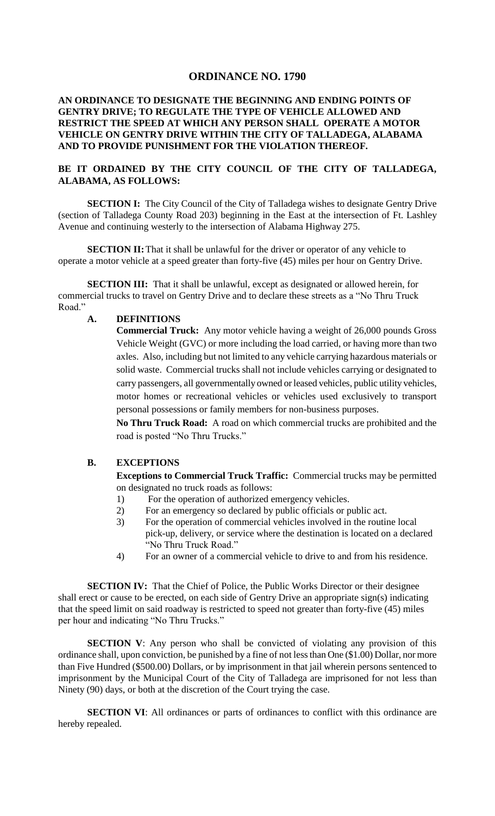# **ORDINANCE NO. 1790**

## **AN ORDINANCE TO DESIGNATE THE BEGINNING AND ENDING POINTS OF GENTRY DRIVE; TO REGULATE THE TYPE OF VEHICLE ALLOWED AND RESTRICT THE SPEED AT WHICH ANY PERSON SHALL OPERATE A MOTOR VEHICLE ON GENTRY DRIVE WITHIN THE CITY OF TALLADEGA, ALABAMA AND TO PROVIDE PUNISHMENT FOR THE VIOLATION THEREOF.**

### **BE IT ORDAINED BY THE CITY COUNCIL OF THE CITY OF TALLADEGA, ALABAMA, AS FOLLOWS:**

**SECTION I:** The City Council of the City of Talladega wishes to designate Gentry Drive (section of Talladega County Road 203) beginning in the East at the intersection of Ft. Lashley Avenue and continuing westerly to the intersection of Alabama Highway 275.

**SECTION II:** That it shall be unlawful for the driver or operator of any vehicle to operate a motor vehicle at a speed greater than forty-five (45) miles per hour on Gentry Drive.

**SECTION III:** That it shall be unlawful, except as designated or allowed herein, for commercial trucks to travel on Gentry Drive and to declare these streets as a "No Thru Truck Road."

#### **A. DEFINITIONS**

**Commercial Truck:** Any motor vehicle having a weight of 26,000 pounds Gross Vehicle Weight (GVC) or more including the load carried, or having more than two axles. Also, including but not limited to any vehicle carrying hazardous materials or solid waste. Commercial trucks shall not include vehicles carrying or designated to carry passengers, all governmentally owned or leased vehicles, public utility vehicles, motor homes or recreational vehicles or vehicles used exclusively to transport personal possessions or family members for non-business purposes.

**No Thru Truck Road:** A road on which commercial trucks are prohibited and the road is posted "No Thru Trucks."

## **B. EXCEPTIONS**

**Exceptions to Commercial Truck Traffic:** Commercial trucks may be permitted on designated no truck roads as follows:

- 1) For the operation of authorized emergency vehicles.
- 2) For an emergency so declared by public officials or public act.
- 3) For the operation of commercial vehicles involved in the routine local pick-up, delivery, or service where the destination is located on a declared "No Thru Truck Road."
- 4) For an owner of a commercial vehicle to drive to and from his residence.

**SECTION IV:** That the Chief of Police, the Public Works Director or their designee shall erect or cause to be erected, on each side of Gentry Drive an appropriate sign(s) indicating that the speed limit on said roadway is restricted to speed not greater than forty-five (45) miles per hour and indicating "No Thru Trucks."

**SECTION V**: Any person who shall be convicted of violating any provision of this ordinance shall, upon conviction, be punished by a fine of not less than One (\$1.00) Dollar, nor more than Five Hundred (\$500.00) Dollars, or by imprisonment in that jail wherein persons sentenced to imprisonment by the Municipal Court of the City of Talladega are imprisoned for not less than Ninety (90) days, or both at the discretion of the Court trying the case.

**SECTION VI:** All ordinances or parts of ordinances to conflict with this ordinance are hereby repealed.